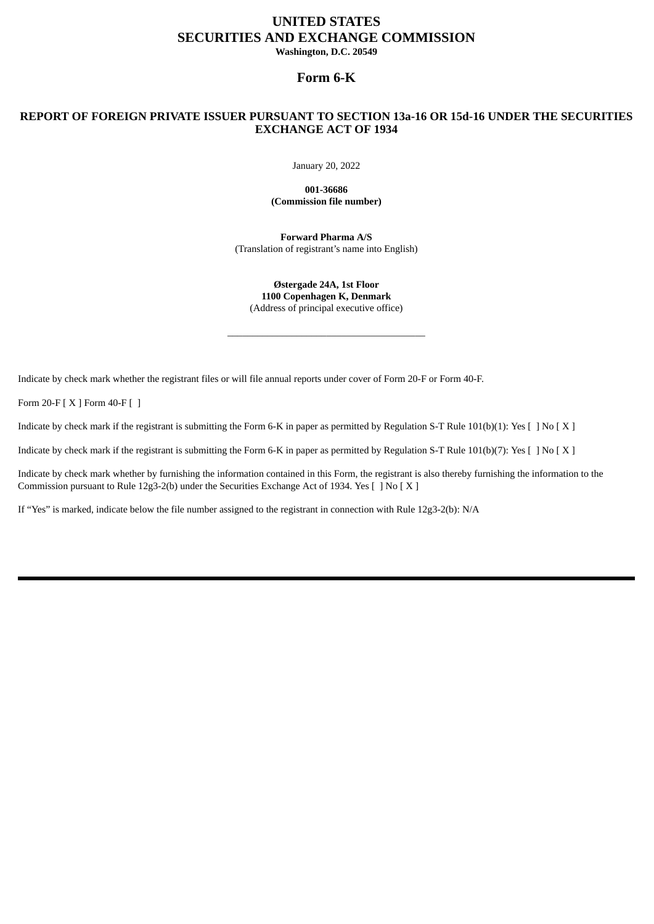# **UNITED STATES SECURITIES AND EXCHANGE COMMISSION Washington, D.C. 20549**

**Form 6-K**

# **REPORT OF FOREIGN PRIVATE ISSUER PURSUANT TO SECTION 13a-16 OR 15d-16 UNDER THE SECURITIES EXCHANGE ACT OF 1934**

January 20, 2022

**001-36686 (Commission file number)**

**Forward Pharma A/S** (Translation of registrant's name into English)

**Østergade 24A, 1st Floor 1100 Copenhagen K, Denmark** (Address of principal executive office)

\_\_\_\_\_\_\_\_\_\_\_\_\_\_\_\_\_\_\_\_\_\_\_\_\_\_\_\_\_\_\_\_\_\_\_\_\_\_\_\_

Indicate by check mark whether the registrant files or will file annual reports under cover of Form 20-F or Form 40-F.

Form 20-F [ X ] Form 40-F [ ]

Indicate by check mark if the registrant is submitting the Form 6-K in paper as permitted by Regulation S-T Rule 101(b)(1): Yes [ ] No [ X ]

Indicate by check mark if the registrant is submitting the Form 6-K in paper as permitted by Regulation S-T Rule 101(b)(7): Yes [ ] No [ X ]

Indicate by check mark whether by furnishing the information contained in this Form, the registrant is also thereby furnishing the information to the Commission pursuant to Rule 12g3-2(b) under the Securities Exchange Act of 1934. Yes [ ] No [ X ]

If "Yes" is marked, indicate below the file number assigned to the registrant in connection with Rule 12g3-2(b): N/A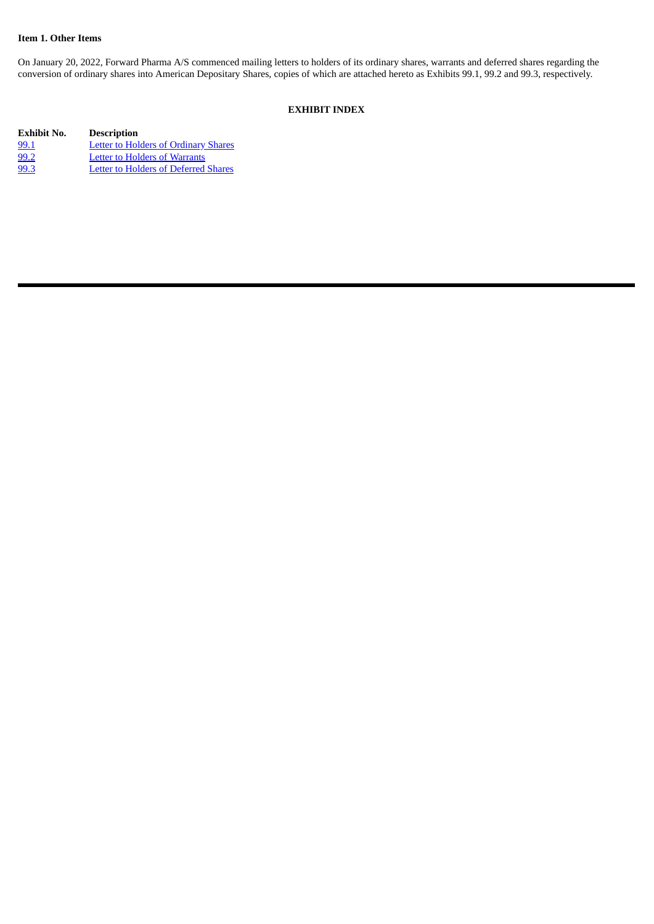## **Item 1. Other Items**

On January 20, 2022, Forward Pharma A/S commenced mailing letters to holders of its ordinary shares, warrants and deferred shares regarding the conversion of ordinary shares into American Depositary Shares, copies of which are attached hereto as Exhibits 99.1, 99.2 and 99.3, respectively.

# **EXHIBIT INDEX**

| Exhibit No. | <b>Description</b>                          |
|-------------|---------------------------------------------|
| 99.1        | <b>Letter to Holders of Ordinary Shares</b> |
| 99.2        | <b>Letter to Holders of Warrants</b>        |
| 99.3        | <b>Letter to Holders of Deferred Shares</b> |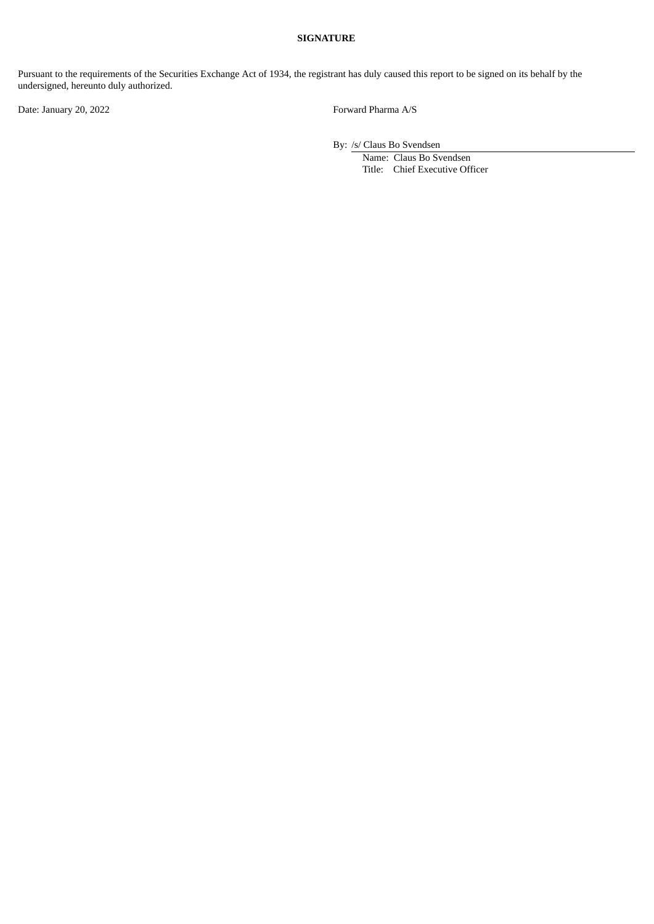## **SIGNATURE**

Pursuant to the requirements of the Securities Exchange Act of 1934, the registrant has duly caused this report to be signed on its behalf by the undersigned, hereunto duly authorized.

Date: January 20, 2022 Forward Pharma A/S

By: /s/ Claus Bo Svendsen

Name: Claus Bo Svendsen Title: Chief Executive Officer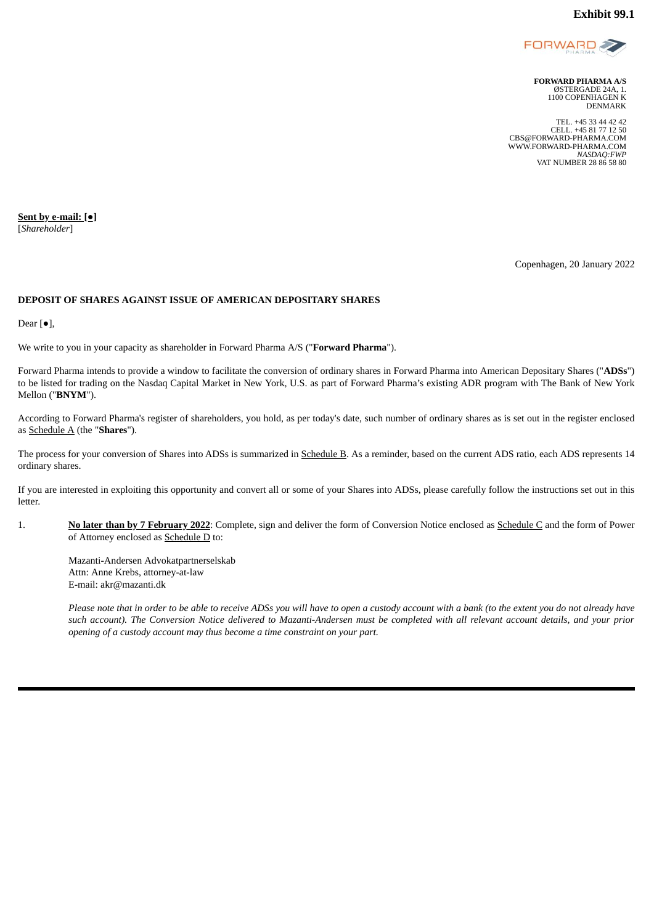

**FORWARD PHARMA A/S** ØSTERGADE 24A, 1. 1100 COPENHAGEN K DENMARK

TEL. +45 33 44 42 42 CELL. +45 81 77 12 50 CBS@FORWARD-PHARMA.COM WWW.FORWARD-PHARMA.COM *NASDAQ:FWP* VAT NUMBER 28 86 58 80

<span id="page-3-0"></span>**Sent by e-mail: [●]** [*Shareholder*]

Copenhagen, 20 January 2022

## **DEPOSIT OF SHARES AGAINST ISSUE OF AMERICAN DEPOSITARY SHARES**

Dear [●],

We write to you in your capacity as shareholder in Forward Pharma A/S ("**Forward Pharma**").

Forward Pharma intends to provide a window to facilitate the conversion of ordinary shares in Forward Pharma into American Depositary Shares ("**ADSs**") to be listed for trading on the Nasdaq Capital Market in New York, U.S. as part of Forward Pharma's existing ADR program with The Bank of New York Mellon ("**BNYM**").

According to Forward Pharma's register of shareholders, you hold, as per today's date, such number of ordinary shares as is set out in the register enclosed as Schedule A (the "**Shares**").

The process for your conversion of Shares into ADSs is summarized in Schedule B. As a reminder, based on the current ADS ratio, each ADS represents 14 ordinary shares.

If you are interested in exploiting this opportunity and convert all or some of your Shares into ADSs, please carefully follow the instructions set out in this letter.

1. **No later than by 7 February 2022**: Complete, sign and deliver the form of Conversion Notice enclosed as Schedule C and the form of Power of Attorney enclosed as Schedule D to:

Mazanti-Andersen Advokatpartnerselskab Attn: Anne Krebs, attorney-at-law E-mail: akr@mazanti.dk

Please note that in order to be able to receive ADSs you will have to open a custody account with a bank (to the extent you do not already have such account). The Conversion Notice delivered to Mazanti-Andersen must be completed with all relevant account details, and your prior *opening of a custody account may thus become a time constraint on your part.*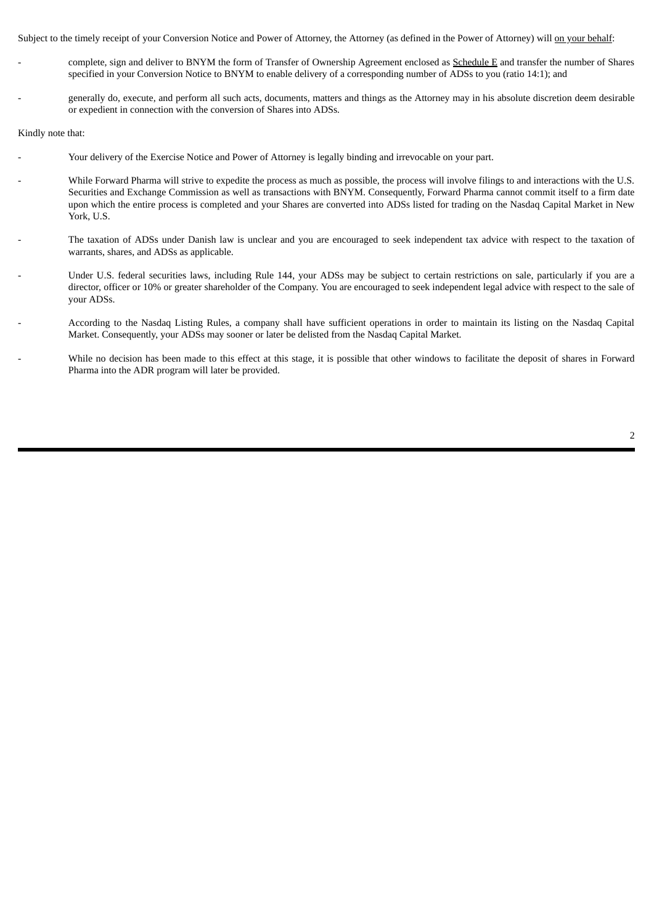Subject to the timely receipt of your Conversion Notice and Power of Attorney, the Attorney (as defined in the Power of Attorney) will on your behalf:

- complete, sign and deliver to BNYM the form of Transfer of Ownership Agreement enclosed as **Schedule E** and transfer the number of Shares specified in your Conversion Notice to BNYM to enable delivery of a corresponding number of ADSs to you (ratio 14:1); and
- generally do, execute, and perform all such acts, documents, matters and things as the Attorney may in his absolute discretion deem desirable or expedient in connection with the conversion of Shares into ADSs.

Kindly note that:

- Your delivery of the Exercise Notice and Power of Attorney is legally binding and irrevocable on your part.
- While Forward Pharma will strive to expedite the process as much as possible, the process will involve filings to and interactions with the U.S. Securities and Exchange Commission as well as transactions with BNYM. Consequently, Forward Pharma cannot commit itself to a firm date upon which the entire process is completed and your Shares are converted into ADSs listed for trading on the Nasdaq Capital Market in New York, U.S.
- The taxation of ADSs under Danish law is unclear and you are encouraged to seek independent tax advice with respect to the taxation of warrants, shares, and ADSs as applicable.
- Under U.S. federal securities laws, including Rule 144, your ADSs may be subject to certain restrictions on sale, particularly if you are a director, officer or 10% or greater shareholder of the Company. You are encouraged to seek independent legal advice with respect to the sale of your ADSs.
- According to the Nasdaq Listing Rules, a company shall have sufficient operations in order to maintain its listing on the Nasdaq Capital Market. Consequently, your ADSs may sooner or later be delisted from the Nasdaq Capital Market.
- While no decision has been made to this effect at this stage, it is possible that other windows to facilitate the deposit of shares in Forward Pharma into the ADR program will later be provided.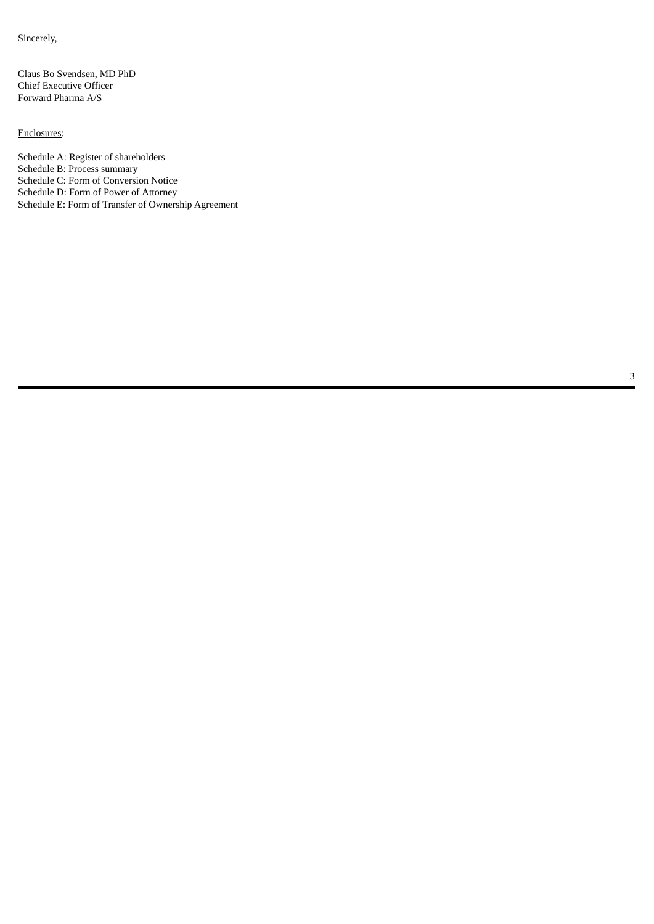Sincerely,

Claus Bo Svendsen, MD PhD Chief Executive Officer Forward Pharma A/S

## Enclosures:

Schedule A: Register of shareholders Schedule B: Process summary Schedule C: Form of Conversion Notice Schedule D: Form of Power of Attorney Schedule E: Form of Transfer of Ownership Agreement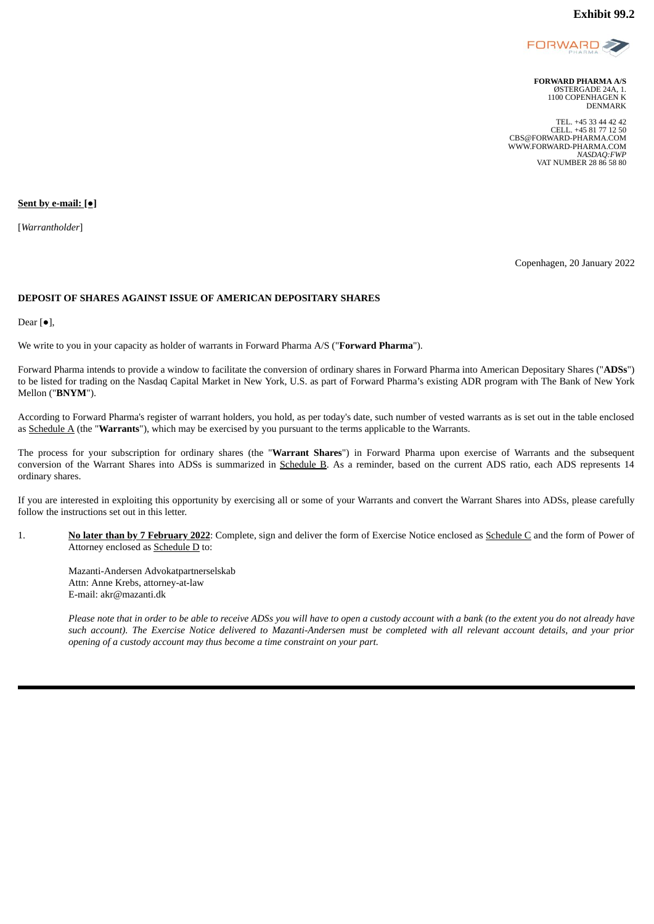

**FORWARD PHARMA A/S** ØSTERGADE 24A, 1. 1100 COPENHAGEN K DENMARK

TEL. +45 33 44 42 42 CELL. +45 81 77 12 50 CBS@FORWARD-PHARMA.COM WWW.FORWARD-PHARMA.COM *NASDAQ:FWP* VAT NUMBER 28 86 58 80

#### <span id="page-6-0"></span>**Sent by e-mail: [●]**

[*Warrantholder*]

Copenhagen, 20 January 2022

### **DEPOSIT OF SHARES AGAINST ISSUE OF AMERICAN DEPOSITARY SHARES**

Dear [●],

We write to you in your capacity as holder of warrants in Forward Pharma A/S ("**Forward Pharma**").

Forward Pharma intends to provide a window to facilitate the conversion of ordinary shares in Forward Pharma into American Depositary Shares ("**ADSs**") to be listed for trading on the Nasdaq Capital Market in New York, U.S. as part of Forward Pharma's existing ADR program with The Bank of New York Mellon ("**BNYM**").

According to Forward Pharma's register of warrant holders, you hold, as per today's date, such number of vested warrants as is set out in the table enclosed as Schedule A (the "**Warrants**"), which may be exercised by you pursuant to the terms applicable to the Warrants.

The process for your subscription for ordinary shares (the "**Warrant Shares**") in Forward Pharma upon exercise of Warrants and the subsequent conversion of the Warrant Shares into ADSs is summarized in Schedule B. As a reminder, based on the current ADS ratio, each ADS represents 14 ordinary shares.

If you are interested in exploiting this opportunity by exercising all or some of your Warrants and convert the Warrant Shares into ADSs, please carefully follow the instructions set out in this letter.

1. **No later than by 7 February 2022**: Complete, sign and deliver the form of Exercise Notice enclosed as Schedule C and the form of Power of Attorney enclosed as Schedule D to:

Mazanti-Andersen Advokatpartnerselskab Attn: Anne Krebs, attorney-at-law E-mail: akr@mazanti.dk

Please note that in order to be able to receive ADSs you will have to open a custody account with a bank (to the extent you do not already have such account). The Exercise Notice delivered to Mazanti-Andersen must be completed with all relevant account details, and your prior *opening of a custody account may thus become a time constraint on your part.*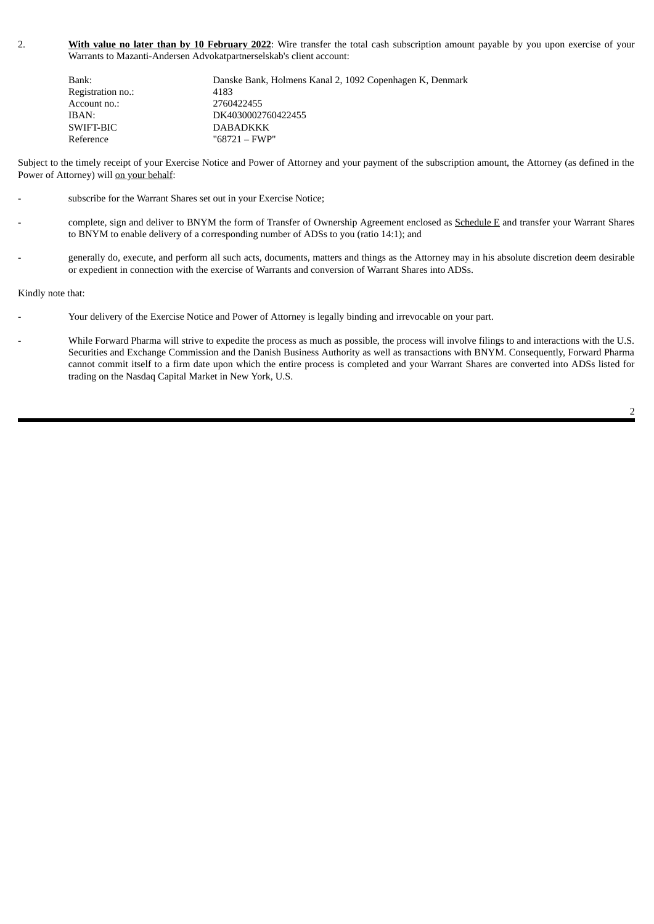2. **With value no later than by 10 February 2022**: Wire transfer the total cash subscription amount payable by you upon exercise of your Warrants to Mazanti-Andersen Advokatpartnerselskab's client account:

| Bank:             | Danske Bank, Holmens Kanal 2, 1092 Copenhagen K, Denmark |
|-------------------|----------------------------------------------------------|
| Registration no.: | 4183                                                     |
| Account no.:      | 2760422455                                               |
| IBAN:             | DK4030002760422455                                       |
| SWIFT-BIC         | <b>DABADKKK</b>                                          |
| Reference         | "68721 – FWP"                                            |

Subject to the timely receipt of your Exercise Notice and Power of Attorney and your payment of the subscription amount, the Attorney (as defined in the Power of Attorney) will on your behalf:

- subscribe for the Warrant Shares set out in your Exercise Notice;
- complete, sign and deliver to BNYM the form of Transfer of Ownership Agreement enclosed as Schedule E and transfer your Warrant Shares to BNYM to enable delivery of a corresponding number of ADSs to you (ratio 14:1); and
- generally do, execute, and perform all such acts, documents, matters and things as the Attorney may in his absolute discretion deem desirable or expedient in connection with the exercise of Warrants and conversion of Warrant Shares into ADSs.

Kindly note that:

- Your delivery of the Exercise Notice and Power of Attorney is legally binding and irrevocable on your part.
- While Forward Pharma will strive to expedite the process as much as possible, the process will involve filings to and interactions with the U.S. Securities and Exchange Commission and the Danish Business Authority as well as transactions with BNYM. Consequently, Forward Pharma cannot commit itself to a firm date upon which the entire process is completed and your Warrant Shares are converted into ADSs listed for trading on the Nasdaq Capital Market in New York, U.S.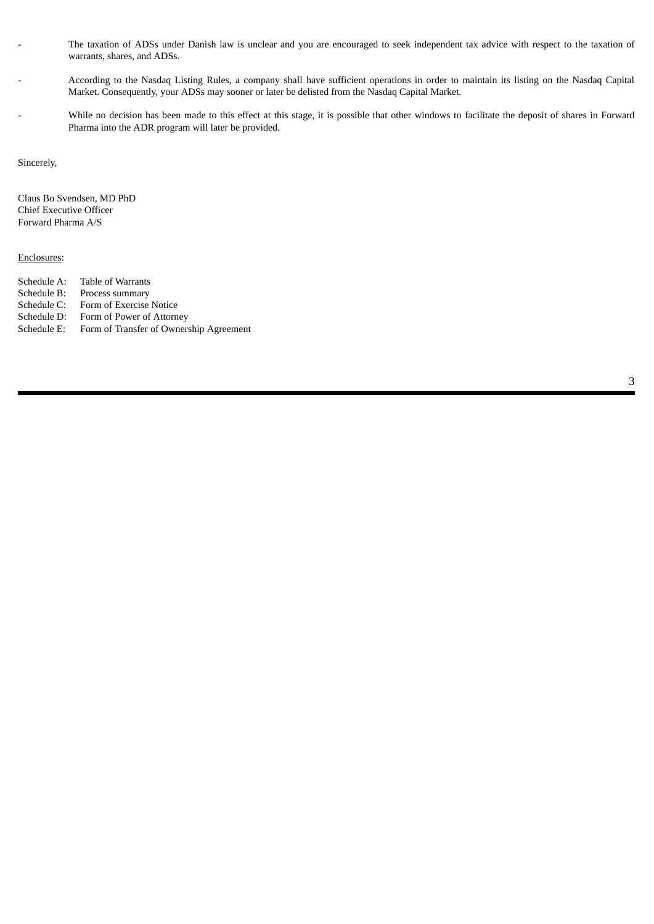- The taxation of ADSs under Danish law is unclear and you are encouraged to seek independent tax advice with respect to the taxation of warrants, shares, and ADSs.
- According to the Nasdaq Listing Rules, a company shall have sufficient operations in order to maintain its listing on the Nasdaq Capital Market. Consequently, your ADSs may sooner or later be delisted from the Nasdaq Capital Market.
- While no decision has been made to this effect at this stage, it is possible that other windows to facilitate the deposit of shares in Forward Pharma into the ADR program will later be provided.

Sincerely,

Claus Bo Svendsen, MD PhD Chief Executive Officer Forward Pharma A/S

### Enclosures:

Schedule A: Table of Warrants Schedule B: Process summary Schedule C: Form of Exercise Notice Schedule D: Form of Power of Attorney Schedule E: Form of Transfer of Ownership Agreement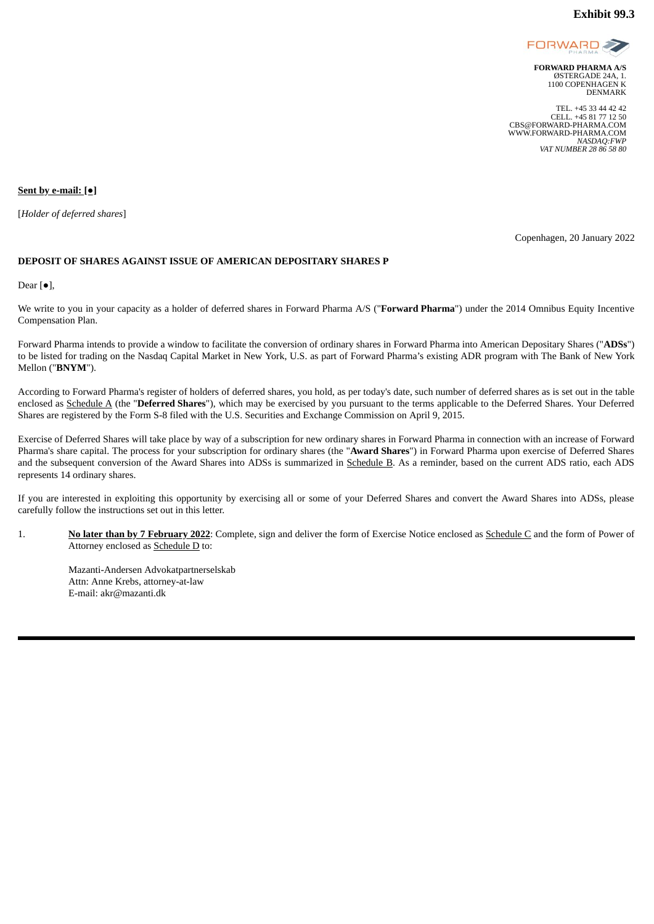

**FORWARD PHARMA A/S** ØSTERGADE 24A, 1. 1100 COPENHAGEN K DENMARK

TEL. +45 33 44 42 42 CELL. +45 81 77 12 50 CBS@FORWARD-PHARMA.COM WWW.FORWARD-PHARMA.COM *NASDAQ:FWP VAT NUMBER 28 86 58 80*

<span id="page-9-0"></span>**Sent by e-mail: [●]**

[*Holder of deferred shares*]

Copenhagen, 20 January 2022

### **DEPOSIT OF SHARES AGAINST ISSUE OF AMERICAN DEPOSITARY SHARES P**

Dear  $[•]$ ,

We write to you in your capacity as a holder of deferred shares in Forward Pharma A/S ("**Forward Pharma**") under the 2014 Omnibus Equity Incentive Compensation Plan.

Forward Pharma intends to provide a window to facilitate the conversion of ordinary shares in Forward Pharma into American Depositary Shares ("**ADSs**") to be listed for trading on the Nasdaq Capital Market in New York, U.S. as part of Forward Pharma's existing ADR program with The Bank of New York Mellon ("**BNYM**").

According to Forward Pharma's register of holders of deferred shares, you hold, as per today's date, such number of deferred shares as is set out in the table enclosed as Schedule A (the "**Deferred Shares**"), which may be exercised by you pursuant to the terms applicable to the Deferred Shares. Your Deferred Shares are registered by the Form S-8 filed with the U.S. Securities and Exchange Commission on April 9, 2015.

Exercise of Deferred Shares will take place by way of a subscription for new ordinary shares in Forward Pharma in connection with an increase of Forward Pharma's share capital. The process for your subscription for ordinary shares (the "**Award Shares**") in Forward Pharma upon exercise of Deferred Shares and the subsequent conversion of the Award Shares into ADSs is summarized in Schedule B. As a reminder, based on the current ADS ratio, each ADS represents 14 ordinary shares.

If you are interested in exploiting this opportunity by exercising all or some of your Deferred Shares and convert the Award Shares into ADSs, please carefully follow the instructions set out in this letter.

1. **No later than by 7 February 2022**: Complete, sign and deliver the form of Exercise Notice enclosed as Schedule C and the form of Power of Attorney enclosed as Schedule D to:

Mazanti-Andersen Advokatpartnerselskab Attn: Anne Krebs, attorney-at-law E-mail: akr@mazanti.dk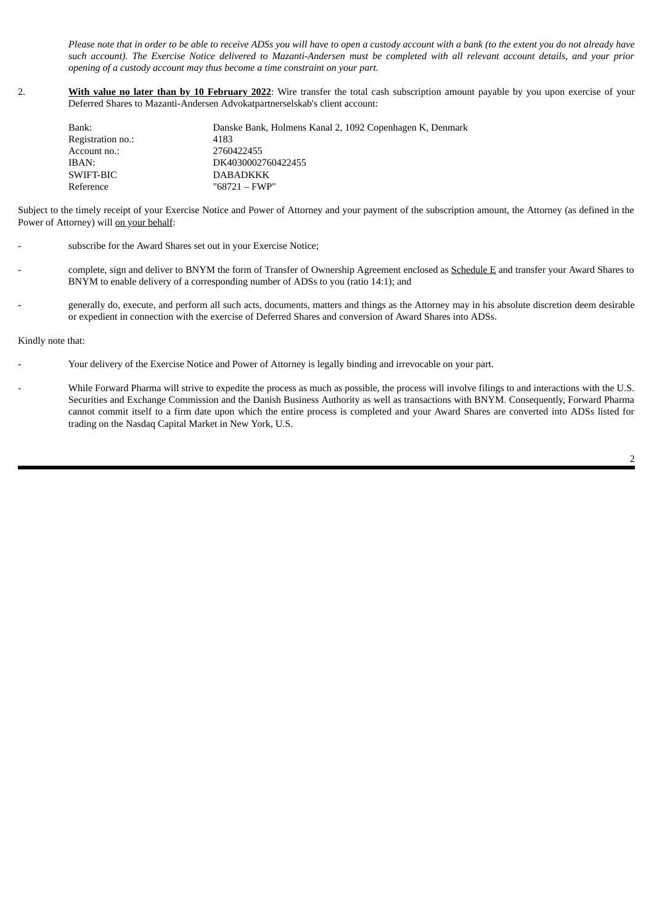Please note that in order to be able to receive ADSs you will have to open a custody account with a bank (to the extent you do not already have such account). The Exercise Notice delivered to Mazanti-Andersen must be completed with all relevant account details, and your prior *opening of a custody account may thus become a time constraint on your part.*

2. **With value no later than by 10 February 2022**: Wire transfer the total cash subscription amount payable by you upon exercise of your Deferred Shares to Mazanti-Andersen Advokatpartnerselskab's client account:

| Bank:             | Danske Bank, Holmens Kanal 2, 1092 Copenhagen K, Denmark |
|-------------------|----------------------------------------------------------|
| Registration no.: | 4183                                                     |
| Account no.:      | 2760422455                                               |
| IBAN:             | DK4030002760422455                                       |
| SWIFT-BIC         | <b>DABADKKK</b>                                          |
| Reference         | "68721 – FWP"                                            |

Subject to the timely receipt of your Exercise Notice and Power of Attorney and your payment of the subscription amount, the Attorney (as defined in the Power of Attorney) will on your behalf:

- subscribe for the Award Shares set out in your Exercise Notice;
- complete, sign and deliver to BNYM the form of Transfer of Ownership Agreement enclosed as **Schedule E** and transfer your Award Shares to BNYM to enable delivery of a corresponding number of ADSs to you (ratio 14:1); and
- generally do, execute, and perform all such acts, documents, matters and things as the Attorney may in his absolute discretion deem desirable or expedient in connection with the exercise of Deferred Shares and conversion of Award Shares into ADSs.

Kindly note that:

- Your delivery of the Exercise Notice and Power of Attorney is legally binding and irrevocable on your part.
- While Forward Pharma will strive to expedite the process as much as possible, the process will involve filings to and interactions with the U.S. Securities and Exchange Commission and the Danish Business Authority as well as transactions with BNYM. Consequently, Forward Pharma cannot commit itself to a firm date upon which the entire process is completed and your Award Shares are converted into ADSs listed for trading on the Nasdaq Capital Market in New York, U.S.